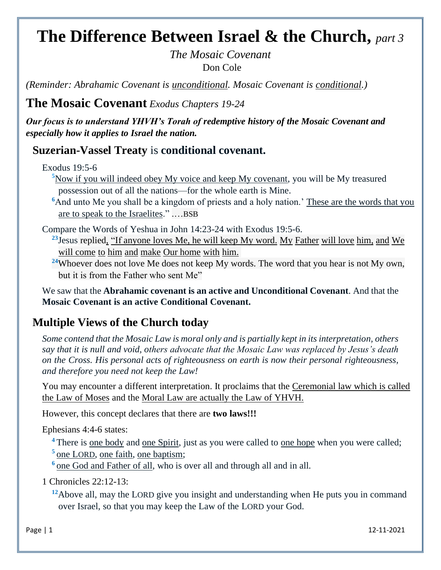# **The Difference Between Israel & the Church,** *part 3*

*The Mosaic Covenant* Don Cole

*(Reminder: Abrahamic Covenant is unconditional. Mosaic Covenant is conditional.)*

**The Mosaic Covenant** *Exodus Chapters 19-24*

*Our focus is to understand YHVH's Torah of redemptive history of the Mosaic Covenant and especially how it applies to Israel the nation.*

### **Suzerian-Vassel Treaty** is **conditional covenant.**

Exodus 19:5-6

<sup>[5](https://biblehub.com/exodus/19-5.htm)</sup>Now if you will indeed obey My voice and keep My covenant, you will be My treasured possession out of all the nations—for the whole earth is Mine.

<sup>[6](https://biblehub.com/exodus/19-6.htm)</sup>And unto Me you shall be a kingdom of priests and a holy nation.' These are the words that you are to speak to the Israelites." .…BSB

Compare the Words of Yeshua in John 14:23-24 with Exodus 19:5-6.

**<sup>23</sup>**[Jesus](https://biblehub.com/greek/2424.htm) [replied,](https://biblehub.com/greek/611.htm) ["If](https://biblehub.com/greek/1437.htm) [anyone](https://biblehub.com/greek/5100.htm) [loves](https://biblehub.com/greek/25.htm) [Me,](https://biblehub.com/greek/1473.htm) [he will keep](https://biblehub.com/greek/5083.htm) [My](https://biblehub.com/greek/1473.htm) [word.](https://biblehub.com/greek/3056.htm) [My](https://biblehub.com/greek/1473.htm) [Father](https://biblehub.com/greek/3962.htm) [will love](https://biblehub.com/greek/25.htm) [him,](https://biblehub.com/greek/846.htm) [and](https://biblehub.com/greek/2532.htm) [We](https://biblehub.com/greek/2064.htm)  [will come](https://biblehub.com/greek/2064.htm) [to](https://biblehub.com/greek/4314.htm) [him](https://biblehub.com/greek/846.htm) [and](https://biblehub.com/greek/2532.htm) [make](https://biblehub.com/greek/4160.htm) [Our home](https://biblehub.com/greek/3438.htm) [with](https://biblehub.com/greek/3844.htm) [him.](https://biblehub.com/greek/846.htm)

**<sup>24</sup>**Whoever does not love Me does not keep My words. The word that you hear is not My own, but it is from the Father who sent Me"

We saw that the **Abrahamic covenant is an active and Unconditional Covenant**. And that the **Mosaic Covenant is an active Conditional Covenant.**

## **Multiple Views of the Church today**

*Some contend that the Mosaic Law is moral only and is partially kept in its interpretation, others say that it is null and void, others advocate that the Mosaic Law was replaced by Jesus's death on the Cross. His personal acts of righteousness on earth is now their personal righteousness, and therefore you need not keep the Law!*

You may encounter a different interpretation. It proclaims that the Ceremonial law which is called the Law of Moses and the Moral Law are actually the Law of YHVH.

However, this concept declares that there are **two laws!!!**

Ephesians 4:4-6 states:

<sup>4</sup> There is <u>one body</u> and <u>one Spirit</u>, just as you were called to <u>one hope</u> when you were called; <sup>5</sup> one LORD, one faith, one baptism;

<sup>6</sup> one God and Father of all, who is over all and through all and in all.

1 Chronicles 22:12-13:

<sup>12</sup>Above all, may the LORD give you insight and understanding when He puts you in command over Israel, so that you may keep the Law of the LORD your God.

Page | 1 12-11-2021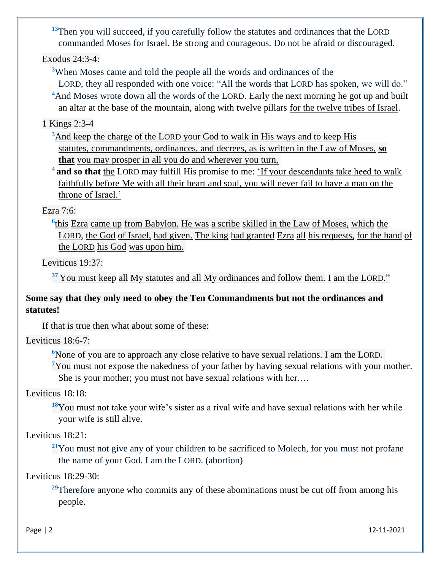<sup>13</sup>[Then](https://biblehub.com/hebrew/227.htm) [you will succeed,](https://biblehub.com/hebrew/6743.htm) [if](https://biblehub.com/hebrew/518.htm) [you carefully](https://biblehub.com/hebrew/8104.htm) [follow](https://biblehub.com/hebrew/6213.htm) [the statutes](https://biblehub.com/hebrew/2706.htm) [and ordinances](https://biblehub.com/hebrew/4941.htm) [that](https://biblehub.com/hebrew/834.htm) [the L](https://biblehub.com/hebrew/3068.htm)ORD [commanded](https://biblehub.com/hebrew/6680.htm) [Moses](https://biblehub.com/hebrew/4872.htm) [for](https://biblehub.com/hebrew/5921.htm) [Israel.](https://biblehub.com/hebrew/3478.htm) [Be strong](https://biblehub.com/hebrew/2388.htm) [and courageous.](https://biblehub.com/hebrew/553.htm) [Do not](https://biblehub.com/hebrew/408.htm) [be afraid](https://biblehub.com/hebrew/3372.htm) [or discouraged.](https://biblehub.com/hebrew/2865.htm)

Exodus 24:3-4:

**<sup>3</sup>**[When Moses](https://biblehub.com/hebrew/4872.htm) [came](https://biblehub.com/hebrew/935.htm) [and told](https://biblehub.com/hebrew/5608.htm) [the people](https://biblehub.com/hebrew/5971.htm) [all](https://biblehub.com/hebrew/3605.htm) [the words](https://biblehub.com/hebrew/1697.htm) [and](https://biblehub.com/hebrew/3605.htm) [ordinances](https://biblehub.com/hebrew/4941.htm) [of the](https://biblehub.com/hebrew/3068.htm) 

L[ORD](https://biblehub.com/hebrew/3068.htm), [they](https://biblehub.com/hebrew/5971.htm) [all](https://biblehub.com/hebrew/3605.htm) [responded](https://biblehub.com/hebrew/6030.htm) [with one](https://biblehub.com/hebrew/259.htm) [voice:](https://biblehub.com/hebrew/6963.htm) ["All](https://biblehub.com/hebrew/3605.htm) [the words](https://biblehub.com/hebrew/1697.htm) [that](https://biblehub.com/hebrew/834.htm) LORD [has spoken,](https://biblehub.com/hebrew/1696.htm) [we will do."](https://biblehub.com/hebrew/6213.htm) <sup>4</sup>And Moses wrote down all the words of the LORD. Early the next morning he got up and built an altar at the base of the mountain, along with twelve pillars for the twelve tribes of Israel.

1 Kings 2:3-4

**<sup>3</sup>**[And keep](https://biblehub.com/hebrew/8104.htm) [the charge](https://biblehub.com/hebrew/4931.htm) [of the L](https://biblehub.com/hebrew/3068.htm)[ORD](https://biblehub.com/hebrew/3068.htm) [your God](https://biblehub.com/hebrew/430.htm) [to walk](https://biblehub.com/hebrew/1980.htm) [in His ways](https://biblehub.com/hebrew/1870.htm) [and to keep](https://biblehub.com/hebrew/8104.htm) [His](https://biblehub.com/hebrew/2708.htm)  [statutes,](https://biblehub.com/hebrew/2708.htm) [commandments,](https://biblehub.com/hebrew/4687.htm) [ordinances,](https://biblehub.com/hebrew/4941.htm) [and decrees,](https://biblehub.com/hebrew/5715.htm) [as is written](https://biblehub.com/hebrew/3789.htm) [in the Law](https://biblehub.com/hebrew/8451.htm) [of Moses,](https://biblehub.com/hebrew/4872.htm) **[so](https://biblehub.com/hebrew/4616.htm)  [that](https://biblehub.com/hebrew/4616.htm)** [you may](https://biblehub.com/hebrew/7919.htm) prosper [in all](https://biblehub.com/hebrew/3605.htm) [you do](https://biblehub.com/hebrew/6213.htm) [and wherever](https://biblehub.com/hebrew/3605.htm) [you turn,](https://biblehub.com/hebrew/6437.htm)

<sup>4</sup>**and so that** the LORD may fulfill His promise to me: 'If your descendants take heed to walk faithfully before Me with all their heart and soul, you will never fail to have a man on the throne of Israel.'

#### Ezra 7:6:

<sup>6</sup>[this](https://biblehub.com/hebrew/1931.htm) [Ezra](https://biblehub.com/hebrew/5830.htm) [came up](https://biblehub.com/hebrew/5927.htm) [from Babylon.](https://biblehub.com/hebrew/894.htm) [He was](https://biblehub.com/hebrew/1931.htm) [a scribe](https://biblehub.com/hebrew/5608.htm) [skilled](https://biblehub.com/hebrew/4106.htm) [in the Law](https://biblehub.com/hebrew/8451.htm) [of Moses,](https://biblehub.com/hebrew/4872.htm) [which](https://biblehub.com/hebrew/834.htm) the L[ORD](https://biblehub.com/hebrew/3068.htm), [the God](https://biblehub.com/hebrew/430.htm) [of Israel,](https://biblehub.com/hebrew/3478.htm) [had given.](https://biblehub.com/hebrew/5414.htm) [The king](https://biblehub.com/hebrew/4428.htm) [had granted](https://biblehub.com/hebrew/5414.htm) [Ezra](https://biblehub.com/hebrew/l%C5%8Dw%20(Prep::%203ms)%20--) [all](https://biblehub.com/hebrew/3605.htm) [his requests,](https://biblehub.com/hebrew/1246.htm) [for the hand](https://biblehub.com/hebrew/3027.htm) [of](https://biblehub.com/hebrew/3068.htm)  [the L](https://biblehub.com/hebrew/3068.htm)ORD [his God](https://biblehub.com/hebrew/430.htm) [was upon him.](https://biblehub.com/hebrew/5921.htm)

Leviticus 19:37:

<sup>37</sup>[You must keep](https://biblehub.com/hebrew/8104.htm) [all](https://biblehub.com/hebrew/3605.htm) [My statutes](https://biblehub.com/hebrew/2708.htm) [and all](https://biblehub.com/hebrew/3605.htm) [My ordinances](https://biblehub.com/hebrew/4941.htm) [and follow](https://biblehub.com/hebrew/6213.htm) [them.](https://biblehub.com/hebrew/853.htm) [I](https://biblehub.com/hebrew/589.htm) [am the L](https://biblehub.com/hebrew/3068.htm)ORD."

#### **Some say that they only need to obey the Ten Commandments but not the ordinances and statutes!**

If that is true then what about some of these:

Leviticus 18:6-7:

**<sup>6</sup>**[None of](https://biblehub.com/hebrew/376.htm) [you are to approach](https://biblehub.com/hebrew/7126.htm) [any](https://biblehub.com/hebrew/3605.htm) [close relative](https://biblehub.com/hebrew/7607.htm) [to have sexual relations.](https://biblehub.com/hebrew/1540.htm) [I](https://biblehub.com/hebrew/589.htm) [am the L](https://biblehub.com/hebrew/3068.htm)ORD. **<sup>7</sup>**You must not expose the nakedness of your father by having sexual relations with your mother. She is your mother; you must not have sexual relations with her.…

Leviticus 18:18:

**[18](https://biblehub.com/leviticus/18-18.htm)**You must not take your wife's sister as a rival wife and have sexual relations with her while your wife is still alive.

Leviticus 18:21:

<sup>[21](https://biblehub.com/leviticus/18-21.htm)</sup>You must not give any of your children to be sacrificed to Molech, for you must not profane the name of your God. I am the LORD. (abortion)

Leviticus 18:29-30:

<sup>[29](https://biblehub.com/leviticus/18-29.htm)</sup>Therefore anyone who commits any of these abominations must be cut off from among his people.